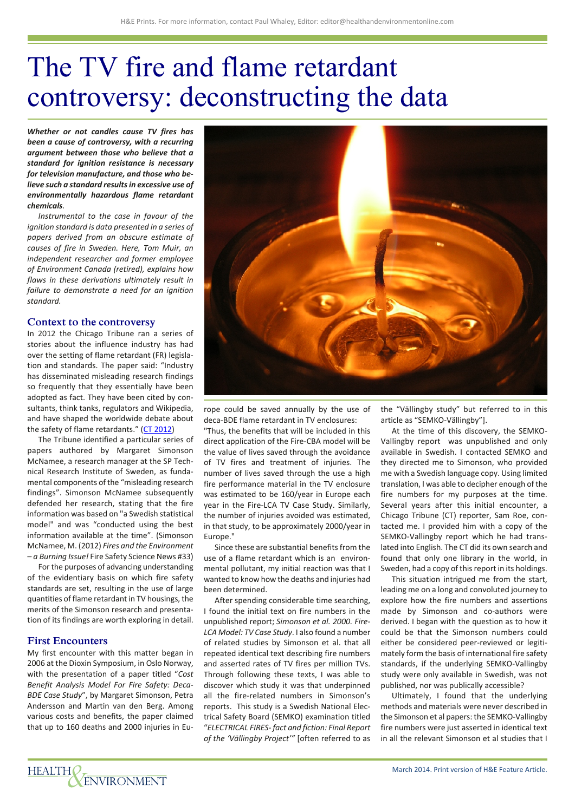# The TV fire and flame retardant controversy: deconstructing the data

*Whether or not candles cause TV fires has been a cause of controversy, with a recurring argument between those who believe that a standard for ignition resistance is necessary for television manufacture, and those who believe such a standard results in excessive use of environmentally hazardous flame retardant chemicals.*

*Instrumental to the case in favour of the ignition standard is data presented in a series of papers derived from an obscure estimate of causes of fire in Sweden. Here, Tom Muir, an independent researcher and former employee of Environment Canada (retired), explains how flaws in these derivations ultimately result in failure to demonstrate a need for an ignition standard.*

#### **Context to the controversy**

In 2012 the Chicago Tribune ran a series of stories about the influence industry has had over the setting of flame retardant (FR) legislation and standards. The paper said: "Industry has disseminated misleading research findings so frequently that they essentially have been adopted as fact. They have been cited by consultants, think tanks, regulators and Wikipedia, and have shaped the worldwide debate about the safety of flame retardants." (CT 2012)

The Tribune identified a particular series of papers authored by Margaret Simonson McNamee, a research manager at the SP Technical Research Institute of Sweden, as fundamental components of the "misleading research findings". Simonson McNamee subsequently defended her research, stating that the fire information was based on "a Swedish statistical model" and was "conducted using the best information available at the time". (Simonson McNamee, M. (2012) *Fires and the Environment – a Burning Issue!* Fire Safety Science News #33)

For the purposes of advancing understanding of the evidentiary basis on which fire safety standards are set, resulting in the use of large quantities of flame retardant in TV housings, the merits of the Simonson research and presentation of its findings are worth exploring in detail.

#### **First Encounters**

My first encounter with this matter began in 2006 at the Dioxin Symposium, in Oslo Norway, with the presentation of a paper titled "*Cost Benefit Analysis Model For Fire Safety: Deca-BDE Case Study*", by Margaret Simonson, Petra Andersson and Martin van den Berg. Among various costs and benefits, the paper claimed that up to 160 deaths and 2000 injuries in Eu-



rope could be saved annually by the use of deca-BDE flame retardant in TV enclosures:

"Thus, the benefits that will be included in this direct application of the Fire-CBA model will be the value of lives saved through the avoidance of TV fires and treatment of injuries. The number of lives saved through the use a high fire performance material in the TV enclosure was estimated to be 160/year in Europe each year in the Fire-LCA TV Case Study. Similarly, the number of injuries avoided was estimated, in that study, to be approximately 2000/year in Europe."

Since these are substantial benefits from the use of a flame retardant which is an environmental pollutant, my initial reaction was that I wanted to know how the deaths and injuries had been determined.

After spending considerable time searching, I found the initial text on fire numbers in the unpublished report; *Simonson et al. 2000. Fire-LCA Model: TV Case Study*. I also found a number of related studies by Simonson et al. that all repeated identical text describing fire numbers and asserted rates of TV fires per million TVs. Through following these texts, I was able to discover which study it was that underpinned all the fire-related numbers in Simonson's reports. This study is a Swedish National Electrical Safety Board (SEMKO) examination titled "*ELECTRICAL FIRES- fact and fiction: Final Report of the 'Vällingby Project'"* [often referred to as the "Vällingby study" but referred to in this article as "SEMKO-Vällingby"].

At the time of this discovery, the SEMKO-Vallingby report was unpublished and only available in Swedish. I contacted SEMKO and they directed me to Simonson, who provided me with a Swedish language copy. Using limited translation, I was able to decipher enough of the fire numbers for my purposes at the time. Several years after this initial encounter, a Chicago Tribune (CT) reporter, Sam Roe, contacted me. I provided him with a copy of the SEMKO-Vallingby report which he had translated into English. The CT did its own search and found that only one library in the world, in Sweden, had a copy of this report in its holdings.

This situation intrigued me from the start, leading me on a long and convoluted journey to explore how the fire numbers and assertions made by Simonson and co-authors were derived. I began with the question as to how it could be that the Simonson numbers could either be considered peer-reviewed or legitimately form the basis of international fire safety standards, if the underlying SEMKO-Vallingby study were only available in Swedish, was not published, nor was publically accessible?

Ultimately, I found that the underlying methods and materials were never described in the Simonson et al papers: the SEMKO-Vallingby fire numbers were just asserted in identical text in all the relevant Simonson et al studies that I

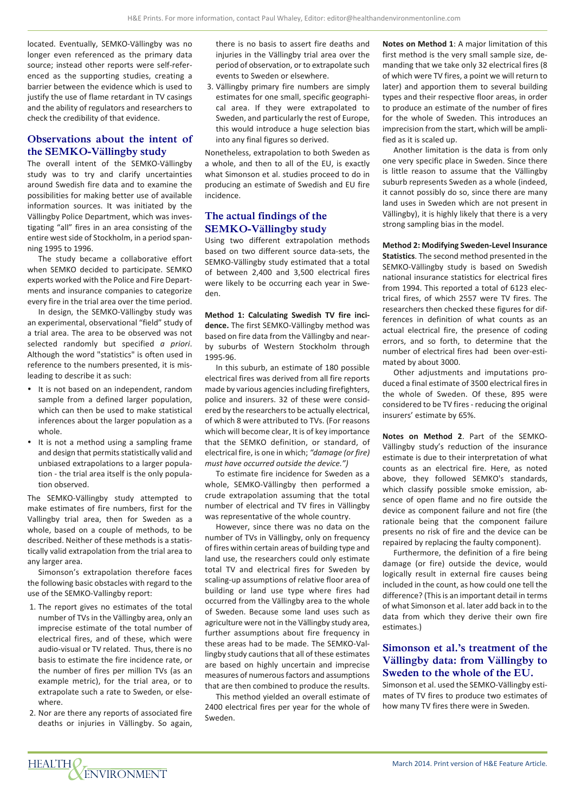located. Eventually, SEMKO-Vällingby was no longer even referenced as the primary data source; instead other reports were self-referenced as the supporting studies, creating a barrier between the evidence which is used to justify the use of flame retardant in TV casings and the ability of regulators and researchers to check the credibility of that evidence.

# **Observations about the intent of the SEMKO-Vällingby study**

The overall intent of the SEMKO-Vällingby study was to try and clarify uncertainties around Swedish fire data and to examine the possibilities for making better use of available information sources. It was initiated by the Vällingby Police Department, which was investigating "all" fires in an area consisting of the entire west side of Stockholm, in a period spanning 1995 to 1996.

The study became a collaborative effort when SEMKO decided to participate. SEMKO experts worked with the Police and Fire Departments and insurance companies to categorize every fire in the trial area over the time period.

In design, the SEMKO-Vällingby study was an experimental, observational "field" study of a trial area. The area to be observed was not selected randomly but specified *a priori*. Although the word "statistics" is often used in reference to the numbers presented, it is misleading to describe it as such:

- It is not based on an independent, random sample from a defined larger population, which can then be used to make statistical inferences about the larger population as a whole.
- It is not a method using a sampling frame and design that permits statistically valid and unbiased extrapolations to a larger population - the trial area itself is the only population observed.

The SEMKO-Vällingby study attempted to make estimates of fire numbers, first for the Vallingby trial area, then for Sweden as a whole, based on a couple of methods, to be described. Neither of these methods is a statistically valid extrapolation from the trial area to any larger area.

Simonson's extrapolation therefore faces the following basic obstacles with regard to the use of the SEMKO-Vallingby report:

- 1. The report gives no estimates of the total number of TVs in the Vällingby area, only an imprecise estimate of the total number of electrical fires, and of these, which were audio-visual or TV related. Thus, there is no basis to estimate the fire incidence rate, or the number of fires per million TVs (as an example metric), for the trial area, or to extrapolate such a rate to Sweden, or elsewhere.
- 2. Nor are there any reports of associated fire deaths or injuries in Vällingby. So again,

there is no basis to assert fire deaths and injuries in the Vällingby trial area over the period of observation, or to extrapolate such events to Sweden or elsewhere.

3. Vällingby primary fire numbers are simply estimates for one small, specific geographical area. If they were extrapolated to Sweden, and particularly the rest of Europe, this would introduce a huge selection bias into any final figures so derived.

Nonetheless, extrapolation to both Sweden as a whole, and then to all of the EU, is exactly what Simonson et al. studies proceed to do in producing an estimate of Swedish and EU fire incidence.

## **The actual findings of the SEMKO-Vällingby study**

Using two different extrapolation methods based on two different source data-sets, the SEMKO-Vällingby study estimated that a total of between 2,400 and 3,500 electrical fires were likely to be occurring each year in Sweden.

**Method 1: Calculating Swedish TV fire incidence.** The first SEMKO-Vällingby method was based on fire data from the Vällingby and nearby suburbs of Western Stockholm through 1995-96.

In this suburb, an estimate of 180 possible electrical fires was derived from all fire reports made by various agencies including firefighters, police and insurers. 32 of these were considered by the researchers to be actually electrical, of which 8 were attributed to TVs. (For reasons which will become clear, It is of key importance that the SEMKO definition, or standard, of electrical fire, is one in which; *"damage (or fire) must have occurred outside the device.")*

To estimate fire incidence for Sweden as a whole, SEMKO-Vällingby then performed a crude extrapolation assuming that the total number of electrical and TV fires in Vällingby was representative of the whole country.

However, since there was no data on the number of TVs in Vällingby, only on frequency of fires within certain areas of building type and land use, the researchers could only estimate total TV and electrical fires for Sweden by scaling-up assumptions of relative floor area of building or land use type where fires had occurred from the Vällingby area to the whole of Sweden. Because some land uses such as agriculture were not in the Vällingby study area, further assumptions about fire frequency in these areas had to be made. The SEMKO-Vallingby study cautions that all of these estimates are based on highly uncertain and imprecise measures of numerous factors and assumptions that are then combined to produce the results.

This method yielded an overall estimate of 2400 electrical fires per year for the whole of Sweden.

**Notes on Method 1**: A major limitation of this first method is the very small sample size, demanding that we take only 32 electrical fires (8 of which were TV fires, a point we will return to later) and apportion them to several building types and their respective floor areas, in order to produce an estimate of the number of fires for the whole of Sweden. This introduces an imprecision from the start, which will be amplified as it is scaled up.

Another limitation is the data is from only one very specific place in Sweden. Since there is little reason to assume that the Vällingby suburb represents Sweden as a whole (indeed, it cannot possibly do so, since there are many land uses in Sweden which are not present in Vällingby), it is highly likely that there is a very strong sampling bias in the model.

**Method 2: Modifying Sweden-Level Insurance Statistics**. The second method presented in the SEMKO-Vällingby study is based on Swedish national insurance statistics for electrical fires from 1994. This reported a total of 6123 electrical fires, of which 2557 were TV fires. The researchers then checked these figures for differences in definition of what counts as an actual electrical fire, the presence of coding errors, and so forth, to determine that the number of electrical fires had been over-estimated by about 3000.

Other adjustments and imputations produced a final estimate of 3500 electrical fires in the whole of Sweden. Of these, 895 were considered to be TV fires - reducing the original insurers' estimate by 65%.

**Notes on Method 2**. Part of the SEMKO-Vällingby study's reduction of the insurance estimate is due to their interpretation of what counts as an electrical fire. Here, as noted above, they followed SEMKO's standards, which classify possible smoke emission, absence of open flame and no fire outside the device as component failure and not fire (the rationale being that the component failure presents no risk of fire and the device can be repaired by replacing the faulty component).

Furthermore, the definition of a fire being damage (or fire) outside the device, would logically result in external fire causes being included in the count, as how could one tell the difference? (This is an important detail in terms of what Simonson et al. later add back in to the data from which they derive their own fire estimates.)

# **Simonson et al.'s treatment of the Vällingby data: from Vällingby to Sweden to the whole of the EU.**

Simonson et al. used the SEMKO-Vällingby estimates of TV fires to produce two estimates of how many TV fires there were in Sweden.

HEALTH VENVIRONMENT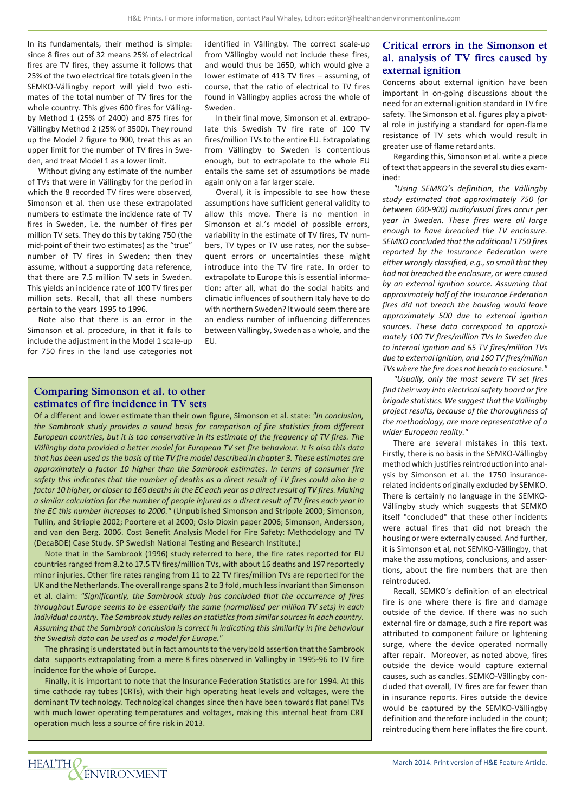In its fundamentals, their method is simple: since 8 fires out of 32 means 25% of electrical fires are TV fires, they assume it follows that 25% of the two electrical fire totals given in the SEMKO-Vällingby report will yield two estimates of the total number of TV fires for the whole country. This gives 600 fires for Vällingby Method 1 (25% of 2400) and 875 fires for Vällingby Method 2 (25% of 3500). They round up the Model 2 figure to 900, treat this as an upper limit for the number of TV fires in Sweden, and treat Model 1 as a lower limit.

Without giving any estimate of the number of TVs that were in Vällingby for the period in which the 8 recorded TV fires were observed, Simonson et al. then use these extrapolated numbers to estimate the incidence rate of TV fires in Sweden, i.e. the number of fires per million TV sets. They do this by taking 750 (the mid-point of their two estimates) as the "true" number of TV fires in Sweden; then they assume, without a supporting data reference, that there are 7.5 million TV sets in Sweden. This yields an incidence rate of 100 TV fires per million sets. Recall, that all these numbers pertain to the years 1995 to 1996.

Note also that there is an error in the Simonson et al. procedure, in that it fails to include the adjustment in the Model 1 scale-up for 750 fires in the land use categories not

identified in Vällingby. The correct scale-up from Vällingby would not include these fires, and would thus be 1650, which would give a lower estimate of 413 TV fires – assuming, of course, that the ratio of electrical to TV fires found in Vällingby applies across the whole of Sweden.

In their final move, Simonson et al. extrapolate this Swedish TV fire rate of 100 TV fires/million TVs to the entire EU. Extrapolating from Vällingby to Sweden is contentious enough, but to extrapolate to the whole EU entails the same set of assumptions be made again only on a far larger scale.

Overall, it is impossible to see how these assumptions have sufficient general validity to allow this move. There is no mention in Simonson et al.'s model of possible errors, variability in the estimate of TV fires, TV numbers, TV types or TV use rates, nor the subsequent errors or uncertainties these might introduce into the TV fire rate. In order to extrapolate to Europe this is essential information: after all, what do the social habits and climatic influences of southern Italy have to do with northern Sweden? It would seem there are an endless number of influencing differences between Vällingby, Sweden as a whole, and the EU.

#### **Comparing Simonson et al. to other estimates of fire incidence in TV sets**

Of a different and lower estimate than their own figure, Simonson et al. state: *"In conclusion, the Sambrook study provides a sound basis for comparison of fire statistics from different European countries, but it is too conservative in its estimate of the frequency of TV fires. The Vällingby data provided a better model for European TV set fire behaviour. It is also this data that has been used as the basis of the TV fire model described in chapter 3. These estimates are approximately a factor 10 higher than the Sambrook estimates. In terms of consumer fire safety this indicates that the number of deaths as a direct result of TV fires could also be a factor 10 higher, or closer to 160 deaths in the EC each year as a direct result of TV fires. Making a similar calculation for the number of people injured as a direct result of TV fires each year in the EC this number increases to 2000."* (Unpublished Simonson and Stripple 2000; Simonson, Tullin, and Stripple 2002; Poortere et al 2000; Oslo Dioxin paper 2006; Simonson, Andersson, and van den Berg. 2006. Cost Benefit Analysis Model for Fire Safety: Methodology and TV (DecaBDE) Case Study. SP Swedish National Testing and Research Institute.)

Note that in the Sambrook (1996) study referred to here, the fire rates reported for EU countries ranged from 8.2 to 17.5 TV fires/million TVs, with about 16 deaths and 197 reportedly minor injuries. Other fire rates ranging from 11 to 22 TV fires/million TVs are reported for the UK and the Netherlands. The overall range spans 2 to 3 fold, much less invariant than Simonson et al. claim: *"Significantly, the Sambrook study has concluded that the occurrence of fires throughout Europe seems to be essentially the same (normalised per million TV sets) in each individual country. The Sambrook study relies on statistics from similar sources in each country. Assuming that the Sambrook conclusion is correct in indicating this similarity in fire behaviour the Swedish data can be used as a model for Europe."*

The phrasing is understated but in fact amounts to the very bold assertion that the Sambrook data supports extrapolating from a mere 8 fires observed in Vallingby in 1995-96 to TV fire incidence for the whole of Europe.

Finally, it is important to note that the Insurance Federation Statistics are for 1994. At this time cathode ray tubes (CRTs), with their high operating heat levels and voltages, were the dominant TV technology. Technological changes since then have been towards flat panel TVs with much lower operating temperatures and voltages, making this internal heat from CRT operation much less a source of fire risk in 2013.

# **Critical errors in the Simonson et al. analysis of TV fires caused by external ignition**

Concerns about external ignition have been important in on-going discussions about the need for an external ignition standard in TV fire safety. The Simonson et al. figures play a pivotal role in justifying a standard for open-flame resistance of TV sets which would result in greater use of flame retardants.

Regarding this, Simonson et al. write a piece of text that appears in the several studies examined:

*"Using SEMKO's definition, the Vällingby study estimated that approximately 750 (or between 600-900) audio/visual fires occur per year in Sweden. These fires were all large enough to have breached the TV enclosure. SEMKO concluded that the additional 1750 fires reported by the Insurance Federation were either wrongly classified, e.g., so small that they had not breached the enclosure, or were caused by an external ignition source. Assuming that approximately half of the Insurance Federation fires did not breach the housing would leave approximately 500 due to external ignition sources. These data correspond to approximately 100 TV fires/million TVs in Sweden due to internal ignition and 65 TV fires/million TVs due to external ignition, and 160 TV fires/million TVs where the fire does not beach to enclosure."*

*"Usually, only the most severe TV set fires find their way into electrical safety board or fire brigade statistics. We suggest that the Vällingby project results, because of the thoroughness of the methodology, are more representative of a wider European reality."*

There are several mistakes in this text. Firstly, there is no basis in the SEMKO-Vällingby method which justifies reintroduction into analysis by Simonson et al. the 1750 insurancerelated incidents originally excluded by SEMKO. There is certainly no language in the SEMKO-Vällingby study which suggests that SEMKO itself "concluded" that these other incidents were actual fires that did not breach the housing or were externally caused. And further, it is Simonson et al, not SEMKO-Vällingby, that make the assumptions, conclusions, and assertions, about the fire numbers that are then reintroduced.

Recall, SEMKO's definition of an electrical fire is one where there is fire and damage outside of the device. If there was no such external fire or damage, such a fire report was attributed to component failure or lightening surge, where the device operated normally after repair. Moreover, as noted above, fires outside the device would capture external causes, such as candles. SEMKO-Vällingby concluded that overall, TV fires are far fewer than in insurance reports. Fires outside the device would be captured by the SEMKO-Vällingby definition and therefore included in the count; reintroducing them here inflates the fire count.